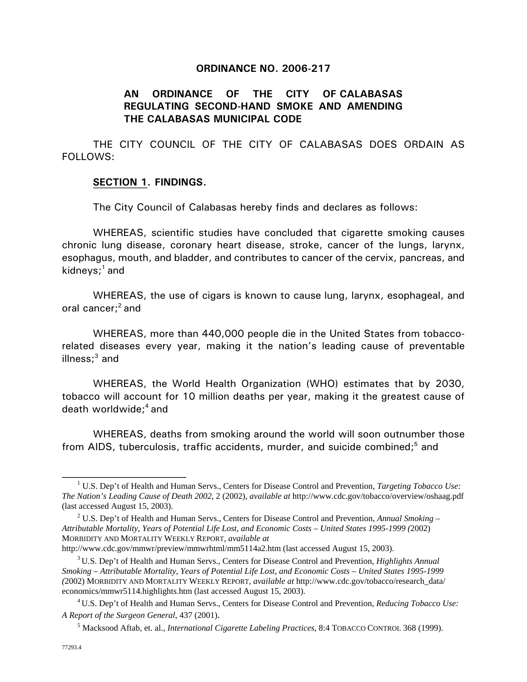### **ORDINANCE NO. 2006-217**

# **AN ORDINANCE OF THE CITY OF CALABASAS REGULATING SECOND-HAND SMOKE AND AMENDING THE CALABASAS MUNICIPAL CODE**

THE CITY COUNCIL OF THE CITY OF CALABASAS DOES ORDAIN AS FOLLOWS:

### **SECTION 1. FINDINGS.**

The City Council of Calabasas hereby finds and declares as follows:

WHEREAS, scientific studies have concluded that cigarette smoking causes chronic lung disease, coronary heart disease, stroke, cancer of the lungs, larynx, esophagus, mouth, and bladder, and contributes to cancer of the cervix, pancreas, and kidneys; $<sup>1</sup>$  and</sup>

WHEREAS, the use of cigars is known to cause lung, larynx, esophageal, and oral cancer;<sup>2</sup> and

WHEREAS, more than 440,000 people die in the United States from tobaccorelated diseases every year, making it the nation's leading cause of preventable illness;<sup>3</sup> and

WHEREAS, the World Health Organization (WHO) estimates that by 2030, tobacco will account for 10 million deaths per year, making it the greatest cause of death worldwide;<sup>4</sup> and

WHEREAS, deaths from smoking around the world will soon outnumber those from AIDS, tuberculosis, traffic accidents, murder, and suicide combined;<sup>5</sup> and

<http://www.cdc.gov/mmwr/preview/mmwrhtml/mm5114a2.htm>(last accessed August 15, 2003).

-

<sup>&</sup>lt;sup>1</sup> U.S. Dep't of Health and Human Servs., Centers for Disease Control and Prevention, *Targeting Tobacco Use*: *The Nation's Leading Cause of Death 2002*, 2 (2002), *available at* <http://www.cdc.gov/tobacco/overview/oshaag.pdf> (last accessed August 15, 2003).

<sup>&</sup>lt;sup>2</sup> U.S. Dep't of Health and Human Servs., Centers for Disease Control and Prevention, *Annual Smoking* – *Attributable Mortality, Years of Potential Life Lost, and Economic Costs – United States 1995-1999 (*2002) MORBIDITY AND MORTALITY WEEKLY REPORT*, available at* 

<sup>3</sup> U.S. Dep't of Health and Human Servs., Centers for Disease Control and Prevention, *Highlights Annual Smoking – Attributable Mortality, Years of Potential Life Lost, and Economic Costs – United States 1995-1999 (*2002) MORBIDITY AND MORTALITY WEEKLY REPORT*, available at* [http://www.cdc.gov/tobacco/research\\_data/](http://www.cdc.gov/tobacco/research_data) economics/mmwr5114.highlights.htm (last accessed August 15, 2003).

<sup>4</sup> U.S. Dep't of Health and Human Servs., Centers for Disease Control and Prevention, *Reducing Tobacco Use:*  A Report of the Surgeon General, 437 (2001).

Macksood Aftab, et. al., *International Cigarette Labeling Practices*, 8:4 TOBACCO CONTROL 368 (1999).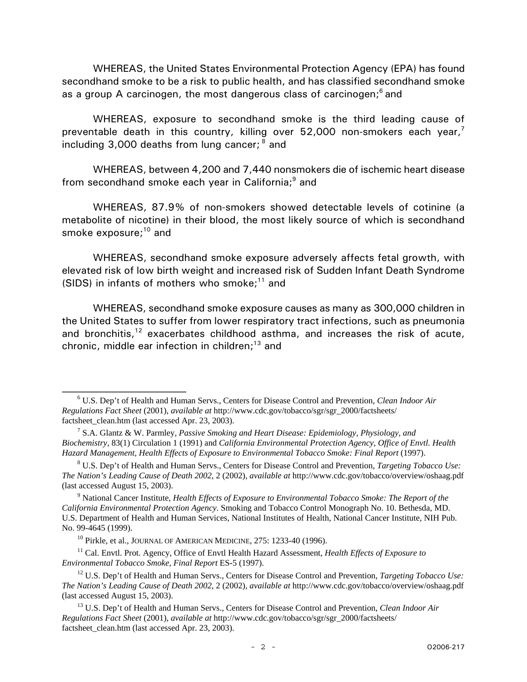WHEREAS, the United States Environmental Protection Agency (EPA) has found secondhand smoke to be a risk to public health, and has classified secondhand smoke as a group A carcinogen, the most dangerous class of carcinogen;<sup>6</sup> and

WHEREAS, exposure to secondhand smoke is the third leading cause of preventable death in this country, killing over  $52,000$  non-smokers each year,<sup>7</sup> including  $3,000$  deaths from lung cancer;  $8$  and

WHEREAS, between 4,200 and 7,440 nonsmokers die of ischemic heart disease from secondhand smoke each year in California;<sup>9</sup> and

WHEREAS, 87.9% of non-smokers showed detectable levels of cotinine (a metabolite of nicotine) in their blood, the most likely source of which is secondhand smoke exposure; $10$  and

WHEREAS, secondhand smoke exposure adversely affects fetal growth, with elevated risk of low birth weight and increased risk of Sudden Infant Death Syndrome (SIDS) in infants of mothers who smoke; $11$  and

WHEREAS, secondhand smoke exposure causes as many as 300,000 children in the United States to suffer from lower respiratory tract infections, such as pneumonia and bronchitis, $12$  exacerbates childhood asthma, and increases the risk of acute, chronic, middle ear infection in children; $13$  and

÷,

<sup>6</sup> U.S. Dep't of Health and Human Servs., Centers for Disease Control and Prevention, *Clean Indoor Air Regulations Fact Sheet* (2001), *available at* [http://www.cdc.gov/tobacco/sgr/sgr\\_2000/factsheets](http://www.cdc.gov/tobacco/sgr/sgr_2000/factsheets)/ factsheet\_clean.htm (last accessed Apr. 23, 2003).

<sup>7</sup> S.A. Glantz & W. Parmley, *Passive Smoking and Heart Disease: Epidemiology, Physiology, and Biochemistry*, 83(1) Circulation 1 (1991) and *California Environmental Protection Agency, Office of Envtl. Health Hazard Management, Health Effects of Exposure to Environmental Tobacco Smoke: Final Report* (1997).

<sup>8</sup> U.S. Dep't of Health and Human Servs., Centers for Disease Control and Prevention, *Targeting Tobacco Use: The Nation's Leading Cause of Death 2002*, 2 (2002), *available at* <http://www.cdc.gov/tobacco/overview/oshaag.pdf> (last accessed August 15, 2003).

<sup>&</sup>lt;sup>9</sup> National Cancer Institute, *Health Effects of Exposure to Environmental Tobacco Smoke: The Report of the California Environmental Protection Agency*. Smoking and Tobacco Control Monograph No. 10. Bethesda, MD. U.S. Department of Health and Human Services, National Institutes of Health, National Cancer Institute, NIH Pub. No. 99-4645 (1999).

<sup>&</sup>lt;sup>10</sup> Pirkle, et al., JOURNAL OF AMERICAN MEDICINE, 275: 1233-40 (1996).

<sup>11</sup> Cal. Envtl. Prot. Agency, Office of Envtl Health Hazard Assessment, *Health Effects of Exposure to Environmental Tobacco Smoke, Final Report* ES-5 (1997).

<sup>12</sup> U.S. Dep't of Health and Human Servs., Centers for Disease Control and Prevention, *Targeting Tobacco Use: The Nation's Leading Cause of Death 2002*, 2 (2002), *available at* <http://www.cdc.gov/tobacco/overview/oshaag.pdf> (last accessed August 15, 2003).

<sup>13</sup> U.S. Dep't of Health and Human Servs., Centers for Disease Control and Prevention, *Clean Indoor Air Regulations Fact Sheet* (2001), *available at* [http://www.cdc.gov/tobacco/sgr/sgr\\_2000/factsheets](http://www.cdc.gov/tobacco/sgr/sgr_2000/factsheets)/ factsheet clean.htm (last accessed Apr. 23, 2003).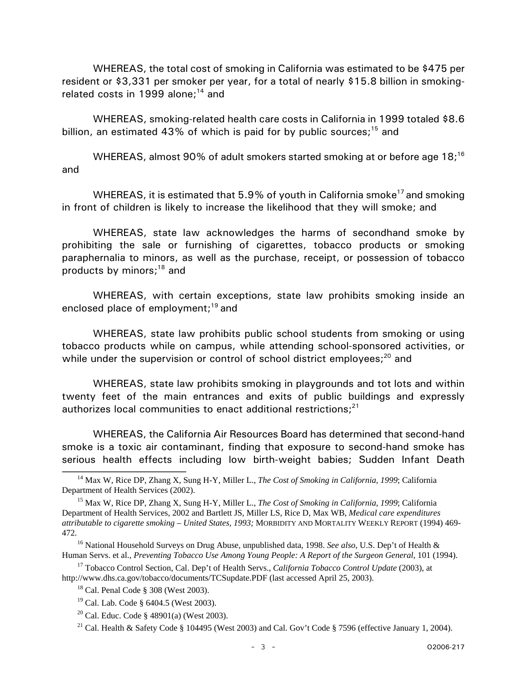WHEREAS, the total cost of smoking in California was estimated to be \$475 per resident or \$3,331 per smoker per year, for a total of nearly \$15.8 billion in smokingrelated costs in 1999 alone; $14$  and

WHEREAS, smoking-related health care costs in California in 1999 totaled \$8.6 billion, an estimated 43% of which is paid for by public sources;<sup>15</sup> and

WHEREAS, almost 90% of adult smokers started smoking at or before age 18;<sup>16</sup> and

WHEREAS, it is estimated that 5.9% of youth in California smoke<sup>17</sup> and smoking in front of children is likely to increase the likelihood that they will smoke; and

WHEREAS, state law acknowledges the harms of secondhand smoke by prohibiting the sale or furnishing of cigarettes, tobacco products or smoking paraphernalia to minors, as well as the purchase, receipt, or possession of tobacco products by minors;<sup>18</sup> and

WHEREAS, with certain exceptions, state law prohibits smoking inside an enclosed place of employment;<sup>19</sup> and

WHEREAS, state law prohibits public school students from smoking or using tobacco products while on campus, while attending school-sponsored activities, or while under the supervision or control of school district employees;<sup>20</sup> and

WHEREAS, state law prohibits smoking in playgrounds and tot lots and within twenty feet of the main entrances and exits of public buildings and expressly authorizes local communities to enact additional restrictions; $^{21}$ 

WHEREAS, the California Air Resources Board has determined that second-hand smoke is a toxic air contaminant, finding that exposure to second-hand smoke has serious health effects including low birth-weight babies; Sudden Infant Death

l.

<sup>14</sup> Max W, Rice DP, Zhang X, Sung H-Y, Miller L., *The Cost of Smoking in California, 1999*; California Department of Health Services (2002).

<sup>15</sup> Max W, Rice DP, Zhang X, Sung H-Y, Miller L., *The Cost of Smoking in California, 1999*; California Department of Health Services, 2002 and Bartlett JS, Miller LS, Rice D, Max WB, *Medical care expenditures attributable to cigarette smoking – United States, 1993;* MORBIDITY AND MORTALITY WEEKLY REPORT (1994) 469- 472.

<sup>16</sup> National Household Surveys on Drug Abuse, unpublished data, 1998. *See also*, U.S. Dep't of Health & Human Servs. et al., *Preventing Tobacco Use Among Young People: A Report of the Surgeon General*, 101 (1994).

<sup>17</sup> Tobacco Control Section, Cal. Dep't of Health Servs., *California Tobacco Control Update* (2003), at <http://www.dhs.ca.gov/tobacco/documents/TCSupdate.PDF>(last accessed April 25, 2003).

<sup>18</sup> Cal. Penal Code § 308 (West 2003).

<sup>19</sup> Cal. Lab. Code § 6404.5 (West 2003).

<sup>&</sup>lt;sup>20</sup> Cal. Educ. Code § 48901(a) (West 2003).

<sup>&</sup>lt;sup>21</sup> Cal. Health & Safety Code § 104495 (West 2003) and Cal. Gov't Code § 7596 (effective January 1, 2004).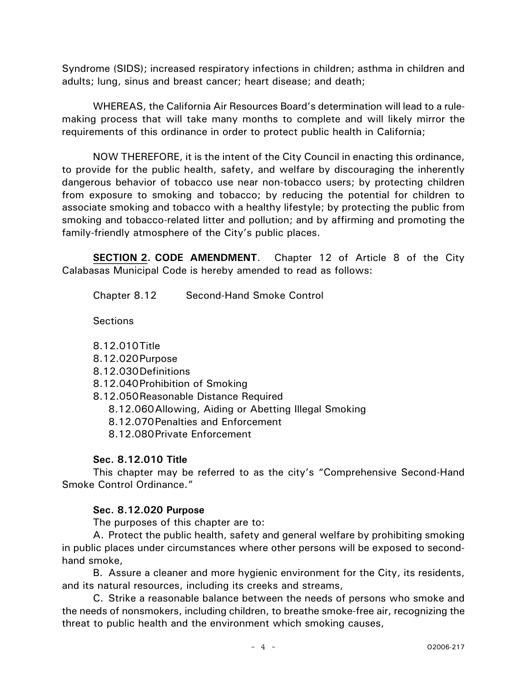Syndrome (SIDS); increased respiratory infections in children; asthma in children and adults; lung, sinus and breast cancer; heart disease; and death;

WHEREAS, the California Air Resources Board's determination will lead to a rulemaking process that will take many months to complete and will likely mirror the requirements of this ordinance in order to protect public health in California;

NOW THEREFORE, it is the intent of the City Council in enacting this ordinance, to provide for the public health, safety, and welfare by discouraging the inherently dangerous behavior of tobacco use near non-tobacco users; by protecting children from exposure to smoking and tobacco; by reducing the potential for children to associate smoking and tobacco with a healthy lifestyle; by protecting the public from smoking and tobacco-related litter and pollution; and by affirming and promoting the family-friendly atmosphere of the City's public places.

**SECTION 2. CODE AMENDMENT.** Chapter 12 of Article 8 of the City Calabasas Municipal Code is hereby amended to read as follows:

Chapter 8.12 Second-Hand Smoke Control

**Sections** 

8.12.010Title

- 8.12.020Purpose
- 8.12.030Definitions
- 8.12.040Prohibition of Smoking
- 8.12.050Reasonable Distance Required
	- 8.12.060Allowing, Aiding or Abetting Illegal Smoking
	- 8.12.070Penalties and Enforcement
	- 8.12.080Private Enforcement

# **Sec. 8.12.010 Title**

This chapter may be referred to as the city's "Comprehensive Second-Hand Smoke Control Ordinance."

# **Sec. 8.12.020 Purpose**

The purposes of this chapter are to:

A. Protect the public health, safety and general welfare by prohibiting smoking in public places under circumstances where other persons will be exposed to secondhand smoke,

B. Assure a cleaner and more hygienic environment for the City, its residents, and its natural resources, including its creeks and streams,

C. Strike a reasonable balance between the needs of persons who smoke and the needs of nonsmokers, including children, to breathe smoke-free air, recognizing the threat to public health and the environment which smoking causes,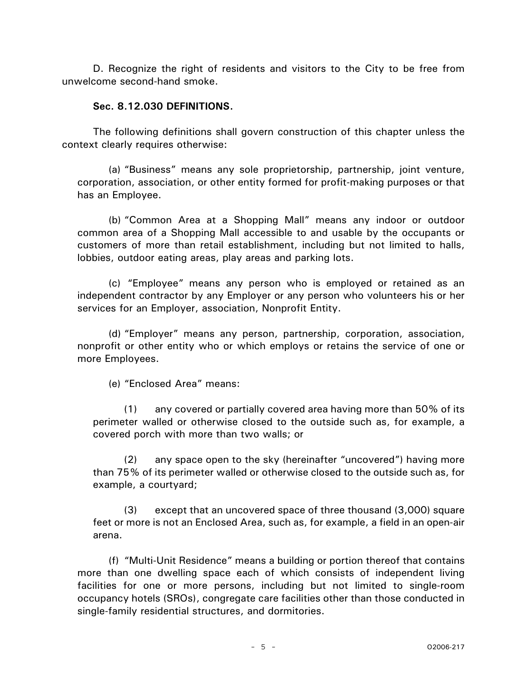D. Recognize the right of residents and visitors to the City to be free from unwelcome second-hand smoke.

# **Sec. 8.12.030 DEFINITIONS.**

The following definitions shall govern construction of this chapter unless the context clearly requires otherwise:

(a) "Business" means any sole proprietorship, partnership, joint venture, corporation, association, or other entity formed for profit-making purposes or that has an Employee.

(b) "Common Area at a Shopping Mall" means any indoor or outdoor common area of a Shopping Mall accessible to and usable by the occupants or customers of more than retail establishment, including but not limited to halls, lobbies, outdoor eating areas, play areas and parking lots.

(c) "Employee" means any person who is employed or retained as an independent contractor by any Employer or any person who volunteers his or her services for an Employer, association, Nonprofit Entity.

(d) "Employer" means any person, partnership, corporation, association, nonprofit or other entity who or which employs or retains the service of one or more Employees.

(e) "Enclosed Area" means:

(1) any covered or partially covered area having more than 50% of its perimeter walled or otherwise closed to the outside such as, for example, a covered porch with more than two walls; or

(2) any space open to the sky (hereinafter "uncovered") having more than 75% of its perimeter walled or otherwise closed to the outside such as, for example, a courtyard;

(3) except that an uncovered space of three thousand (3,000) square feet or more is not an Enclosed Area, such as, for example, a field in an open-air arena.

(f) "Multi-Unit Residence" means a building or portion thereof that contains more than one dwelling space each of which consists of independent living facilities for one or more persons, including but not limited to single-room occupancy hotels (SROs), congregate care facilities other than those conducted in single-family residential structures, and dormitories.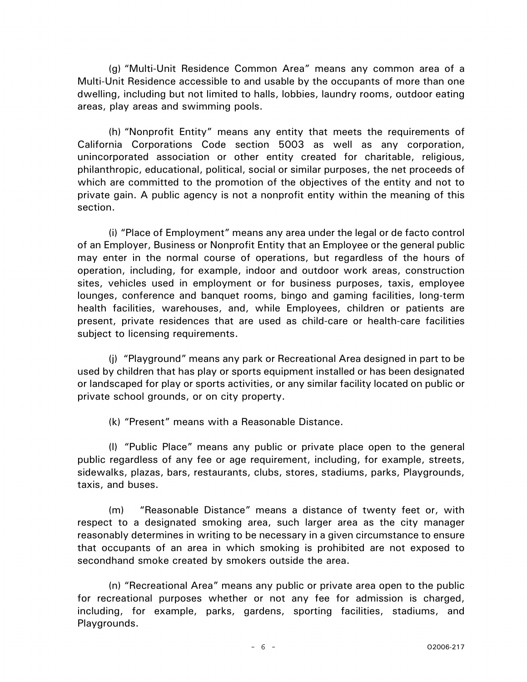(g) "Multi-Unit Residence Common Area" means any common area of a Multi-Unit Residence accessible to and usable by the occupants of more than one dwelling, including but not limited to halls, lobbies, laundry rooms, outdoor eating areas, play areas and swimming pools.

(h) "Nonprofit Entity" means any entity that meets the requirements of California Corporations Code section 5003 as well as any corporation, unincorporated association or other entity created for charitable, religious, philanthropic, educational, political, social or similar purposes, the net proceeds of which are committed to the promotion of the objectives of the entity and not to private gain. A public agency is not a nonprofit entity within the meaning of this section.

(i) "Place of Employment" means any area under the legal or de facto control of an Employer, Business or Nonprofit Entity that an Employee or the general public may enter in the normal course of operations, but regardless of the hours of operation, including, for example, indoor and outdoor work areas, construction sites, vehicles used in employment or for business purposes, taxis, employee lounges, conference and banquet rooms, bingo and gaming facilities, long-term health facilities, warehouses, and, while Employees, children or patients are present, private residences that are used as child-care or health-care facilities subject to licensing requirements.

(j) "Playground" means any park or Recreational Area designed in part to be used by children that has play or sports equipment installed or has been designated or landscaped for play or sports activities, or any similar facility located on public or private school grounds, or on city property.

(k) "Present" means with a Reasonable Distance.

(l) "Public Place" means any public or private place open to the general public regardless of any fee or age requirement, including, for example, streets, sidewalks, plazas, bars, restaurants, clubs, stores, stadiums, parks, Playgrounds, taxis, and buses.

(m) "Reasonable Distance" means a distance of twenty feet or, with respect to a designated smoking area, such larger area as the city manager reasonably determines in writing to be necessary in a given circumstance to ensure that occupants of an area in which smoking is prohibited are not exposed to secondhand smoke created by smokers outside the area.

(n) "Recreational Area" means any public or private area open to the public for recreational purposes whether or not any fee for admission is charged, including, for example, parks, gardens, sporting facilities, stadiums, and Playgrounds.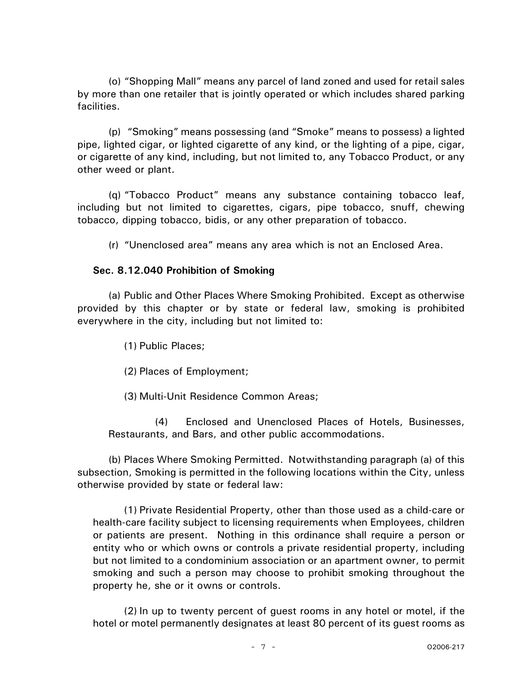(o) "Shopping Mall" means any parcel of land zoned and used for retail sales by more than one retailer that is jointly operated or which includes shared parking facilities.

(p) "Smoking" means possessing (and "Smoke" means to possess) a lighted pipe, lighted cigar, or lighted cigarette of any kind, or the lighting of a pipe, cigar, or cigarette of any kind, including, but not limited to, any Tobacco Product, or any other weed or plant.

(q) "Tobacco Product" means any substance containing tobacco leaf, including but not limited to cigarettes, cigars, pipe tobacco, snuff, chewing tobacco, dipping tobacco, bidis, or any other preparation of tobacco.

(r) "Unenclosed area" means any area which is not an Enclosed Area.

# **Sec. 8.12.040 Prohibition of Smoking**

(a) Public and Other Places Where Smoking Prohibited. Except as otherwise provided by this chapter or by state or federal law, smoking is prohibited everywhere in the city, including but not limited to:

(1) Public Places;

(2) Places of Employment;

(3) Multi-Unit Residence Common Areas;

(4) Enclosed and Unenclosed Places of Hotels, Businesses, Restaurants, and Bars, and other public accommodations.

(b) Places Where Smoking Permitted. Notwithstanding paragraph (a) of this subsection, Smoking is permitted in the following locations within the City, unless otherwise provided by state or federal law:

(1) Private Residential Property, other than those used as a child-care or health-care facility subject to licensing requirements when Employees, children or patients are present. Nothing in this ordinance shall require a person or entity who or which owns or controls a private residential property, including but not limited to a condominium association or an apartment owner, to permit smoking and such a person may choose to prohibit smoking throughout the property he, she or it owns or controls.

(2) In up to twenty percent of guest rooms in any hotel or motel, if the hotel or motel permanently designates at least 80 percent of its guest rooms as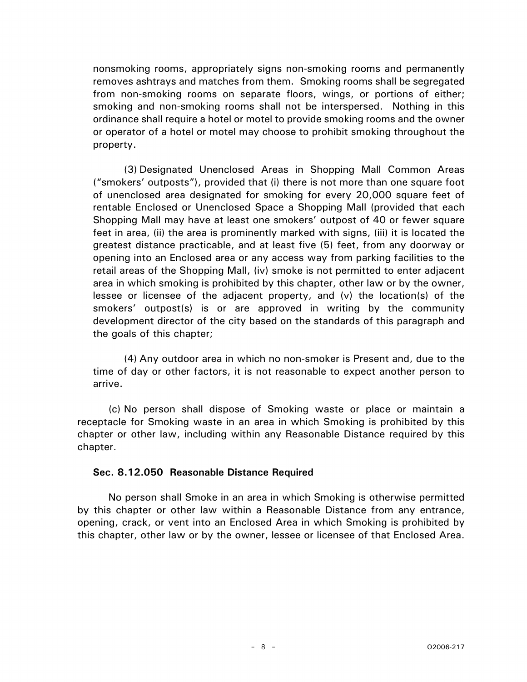nonsmoking rooms, appropriately signs non-smoking rooms and permanently removes ashtrays and matches from them. Smoking rooms shall be segregated from non-smoking rooms on separate floors, wings, or portions of either; smoking and non-smoking rooms shall not be interspersed. Nothing in this ordinance shall require a hotel or motel to provide smoking rooms and the owner or operator of a hotel or motel may choose to prohibit smoking throughout the property.

(3) Designated Unenclosed Areas in Shopping Mall Common Areas ("smokers' outposts"), provided that (i) there is not more than one square foot of unenclosed area designated for smoking for every 20,000 square feet of rentable Enclosed or Unenclosed Space a Shopping Mall (provided that each Shopping Mall may have at least one smokers' outpost of 40 or fewer square feet in area, (ii) the area is prominently marked with signs, (iii) it is located the greatest distance practicable, and at least five (5) feet, from any doorway or opening into an Enclosed area or any access way from parking facilities to the retail areas of the Shopping Mall, (iv) smoke is not permitted to enter adjacent area in which smoking is prohibited by this chapter, other law or by the owner, lessee or licensee of the adjacent property, and (v) the location(s) of the smokers' outpost(s) is or are approved in writing by the community development director of the city based on the standards of this paragraph and the goals of this chapter;

(4) Any outdoor area in which no non-smoker is Present and, due to the time of day or other factors, it is not reasonable to expect another person to arrive.

(c) No person shall dispose of Smoking waste or place or maintain a receptacle for Smoking waste in an area in which Smoking is prohibited by this chapter or other law, including within any Reasonable Distance required by this chapter.

### **Sec. 8.12.050 Reasonable Distance Required**

No person shall Smoke in an area in which Smoking is otherwise permitted by this chapter or other law within a Reasonable Distance from any entrance, opening, crack, or vent into an Enclosed Area in which Smoking is prohibited by this chapter, other law or by the owner, lessee or licensee of that Enclosed Area.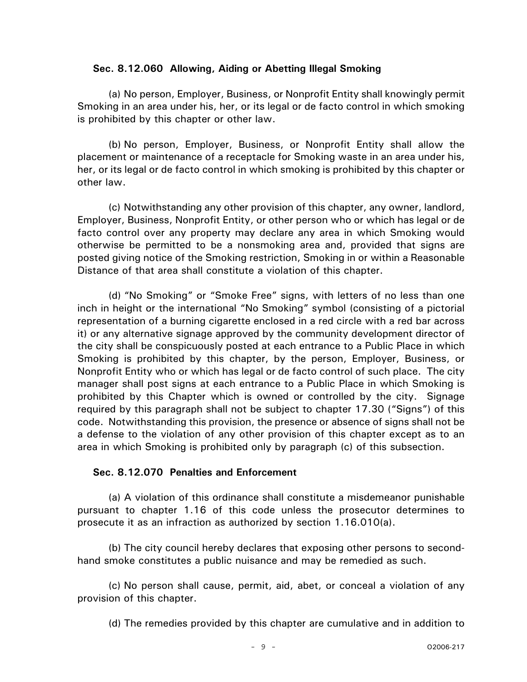## **Sec. 8.12.060 Allowing, Aiding or Abetting Illegal Smoking**

(a) No person, Employer, Business, or Nonprofit Entity shall knowingly permit Smoking in an area under his, her, or its legal or de facto control in which smoking is prohibited by this chapter or other law.

(b) No person, Employer, Business, or Nonprofit Entity shall allow the placement or maintenance of a receptacle for Smoking waste in an area under his, her, or its legal or de facto control in which smoking is prohibited by this chapter or other law.

(c) Notwithstanding any other provision of this chapter, any owner, landlord, Employer, Business, Nonprofit Entity, or other person who or which has legal or de facto control over any property may declare any area in which Smoking would otherwise be permitted to be a nonsmoking area and, provided that signs are posted giving notice of the Smoking restriction, Smoking in or within a Reasonable Distance of that area shall constitute a violation of this chapter.

(d) "No Smoking" or "Smoke Free" signs, with letters of no less than one inch in height or the international "No Smoking" symbol (consisting of a pictorial representation of a burning cigarette enclosed in a red circle with a red bar across it) or any alternative signage approved by the community development director of the city shall be conspicuously posted at each entrance to a Public Place in which Smoking is prohibited by this chapter, by the person, Employer, Business, or Nonprofit Entity who or which has legal or de facto control of such place. The city manager shall post signs at each entrance to a Public Place in which Smoking is prohibited by this Chapter which is owned or controlled by the city. Signage required by this paragraph shall not be subject to chapter 17.30 ("Signs") of this code. Notwithstanding this provision, the presence or absence of signs shall not be a defense to the violation of any other provision of this chapter except as to an area in which Smoking is prohibited only by paragraph (c) of this subsection.

# **Sec. 8.12.070 Penalties and Enforcement**

(a) A violation of this ordinance shall constitute a misdemeanor punishable pursuant to chapter 1.16 of this code unless the prosecutor determines to prosecute it as an infraction as authorized by section 1.16.010(a).

(b) The city council hereby declares that exposing other persons to secondhand smoke constitutes a public nuisance and may be remedied as such.

(c) No person shall cause, permit, aid, abet, or conceal a violation of any provision of this chapter.

(d) The remedies provided by this chapter are cumulative and in addition to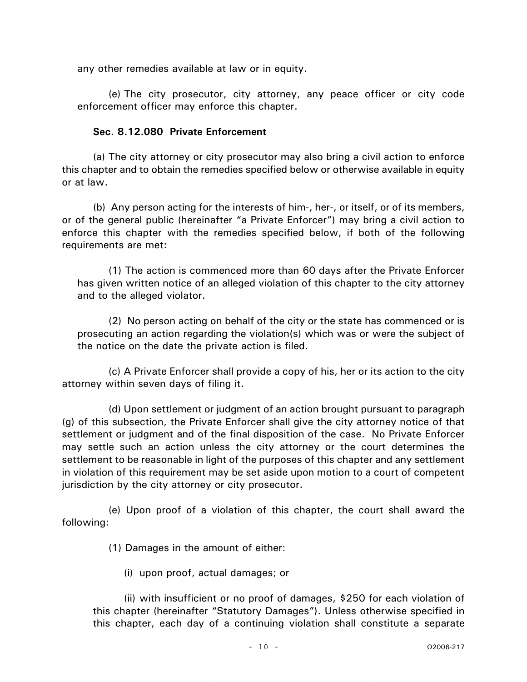any other remedies available at law or in equity.

(e) The city prosecutor, city attorney, any peace officer or city code enforcement officer may enforce this chapter.

# **Sec. 8.12.080 Private Enforcement**

(a) The city attorney or city prosecutor may also bring a civil action to enforce this chapter and to obtain the remedies specified below or otherwise available in equity or at law.

(b) Any person acting for the interests of him-, her-, or itself, or of its members, or of the general public (hereinafter "a Private Enforcer") may bring a civil action to enforce this chapter with the remedies specified below, if both of the following requirements are met:

(1) The action is commenced more than 60 days after the Private Enforcer has given written notice of an alleged violation of this chapter to the city attorney and to the alleged violator.

(2) No person acting on behalf of the city or the state has commenced or is prosecuting an action regarding the violation(s) which was or were the subject of the notice on the date the private action is filed.

(c) A Private Enforcer shall provide a copy of his, her or its action to the city attorney within seven days of filing it.

(d) Upon settlement or judgment of an action brought pursuant to paragraph (g) of this subsection, the Private Enforcer shall give the city attorney notice of that settlement or judgment and of the final disposition of the case. No Private Enforcer may settle such an action unless the city attorney or the court determines the settlement to be reasonable in light of the purposes of this chapter and any settlement in violation of this requirement may be set aside upon motion to a court of competent jurisdiction by the city attorney or city prosecutor.

(e) Upon proof of a violation of this chapter, the court shall award the following:

(1) Damages in the amount of either:

(i) upon proof, actual damages; or

(ii) with insufficient or no proof of damages, \$250 for each violation of this chapter (hereinafter "Statutory Damages"). Unless otherwise specified in this chapter, each day of a continuing violation shall constitute a separate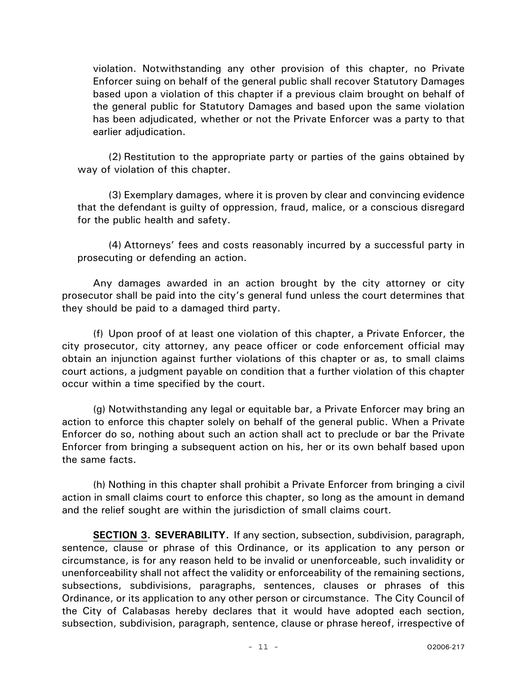violation. Notwithstanding any other provision of this chapter, no Private Enforcer suing on behalf of the general public shall recover Statutory Damages based upon a violation of this chapter if a previous claim brought on behalf of the general public for Statutory Damages and based upon the same violation has been adjudicated, whether or not the Private Enforcer was a party to that earlier adjudication.

(2) Restitution to the appropriate party or parties of the gains obtained by way of violation of this chapter.

(3) Exemplary damages, where it is proven by clear and convincing evidence that the defendant is guilty of oppression, fraud, malice, or a conscious disregard for the public health and safety.

(4) Attorneys' fees and costs reasonably incurred by a successful party in prosecuting or defending an action.

Any damages awarded in an action brought by the city attorney or city prosecutor shall be paid into the city's general fund unless the court determines that they should be paid to a damaged third party.

(f) Upon proof of at least one violation of this chapter, a Private Enforcer, the city prosecutor, city attorney, any peace officer or code enforcement official may obtain an injunction against further violations of this chapter or as, to small claims court actions, a judgment payable on condition that a further violation of this chapter occur within a time specified by the court.

(g) Notwithstanding any legal or equitable bar, a Private Enforcer may bring an action to enforce this chapter solely on behalf of the general public. When a Private Enforcer do so, nothing about such an action shall act to preclude or bar the Private Enforcer from bringing a subsequent action on his, her or its own behalf based upon the same facts.

(h) Nothing in this chapter shall prohibit a Private Enforcer from bringing a civil action in small claims court to enforce this chapter, so long as the amount in demand and the relief sought are within the jurisdiction of small claims court.

**SECTION 3. SEVERABILITY.** If any section, subsection, subdivision, paragraph, sentence, clause or phrase of this Ordinance, or its application to any person or circumstance, is for any reason held to be invalid or unenforceable, such invalidity or unenforceability shall not affect the validity or enforceability of the remaining sections, subsections, subdivisions, paragraphs, sentences, clauses or phrases of this Ordinance, or its application to any other person or circumstance. The City Council of the City of Calabasas hereby declares that it would have adopted each section, subsection, subdivision, paragraph, sentence, clause or phrase hereof, irrespective of